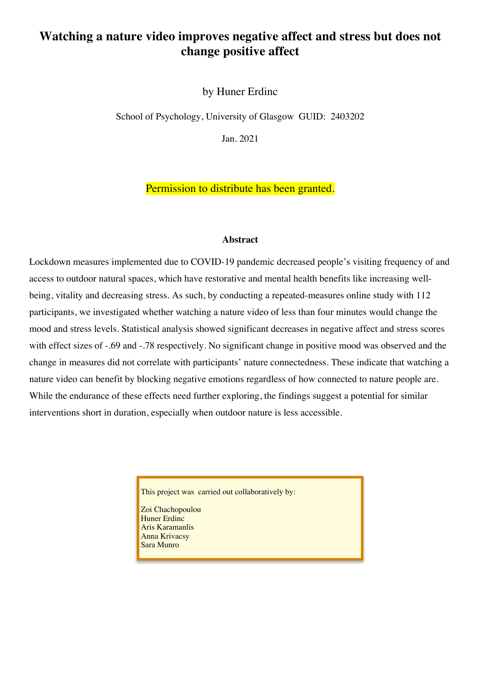# **Watching a nature video improves negative affect and stress but does not change positive affect**

by Huner Erdinc

School of Psychology, University of Glasgow GUID: 2403202

Jan. 2021

Permission to distribute has been granted.

#### **Abstract**

Lockdown measures implemented due to COVID-19 pandemic decreased people's visiting frequency of and access to outdoor natural spaces, which have restorative and mental health benefits like increasing wellbeing, vitality and decreasing stress. As such, by conducting a repeated-measures online study with 112 participants, we investigated whether watching a nature video of less than four minutes would change the mood and stress levels. Statistical analysis showed significant decreases in negative affect and stress scores with effect sizes of -.69 and -.78 respectively. No significant change in positive mood was observed and the change in measures did not correlate with participants' nature connectedness. These indicate that watching a nature video can benefit by blocking negative emotions regardless of how connected to nature people are. While the endurance of these effects need further exploring, the findings suggest a potential for similar interventions short in duration, especially when outdoor nature is less accessible.

This project was carried out collaboratively by:

Zoi Chachopoulou Huner Erdinc Aris Karamanlis Anna Krivacsy Sara Munro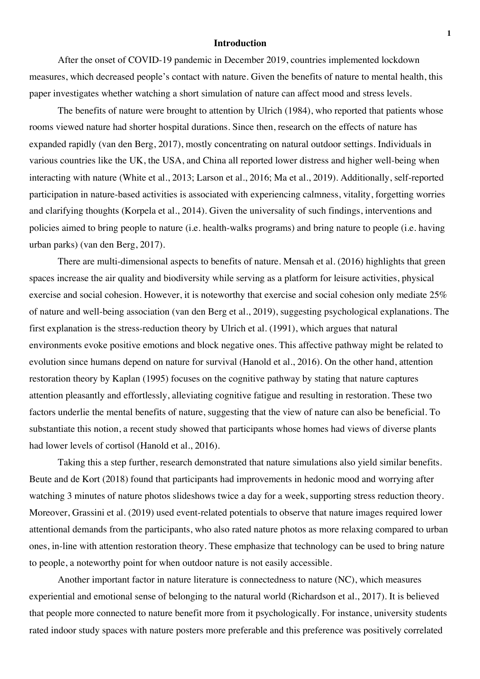#### **Introduction**

After the onset of COVID-19 pandemic in December 2019, countries implemented lockdown measures, which decreased people's contact with nature. Given the benefits of nature to mental health, this paper investigates whether watching a short simulation of nature can affect mood and stress levels.

The benefits of nature were brought to attention by Ulrich (1984), who reported that patients whose rooms viewed nature had shorter hospital durations. Since then, research on the effects of nature has expanded rapidly (van den Berg, 2017), mostly concentrating on natural outdoor settings. Individuals in various countries like the UK, the USA, and China all reported lower distress and higher well-being when interacting with nature (White et al., 2013; Larson et al., 2016; Ma et al., 2019). Additionally, self-reported participation in nature-based activities is associated with experiencing calmness, vitality, forgetting worries and clarifying thoughts (Korpela et al., 2014). Given the universality of such findings, interventions and policies aimed to bring people to nature (i.e. health-walks programs) and bring nature to people (i.e. having urban parks) (van den Berg, 2017).

There are multi-dimensional aspects to benefits of nature. Mensah et al. (2016) highlights that green spaces increase the air quality and biodiversity while serving as a platform for leisure activities, physical exercise and social cohesion. However, it is noteworthy that exercise and social cohesion only mediate 25% of nature and well-being association (van den Berg et al., 2019), suggesting psychological explanations. The first explanation is the stress-reduction theory by Ulrich et al. (1991), which argues that natural environments evoke positive emotions and block negative ones. This affective pathway might be related to evolution since humans depend on nature for survival (Hanold et al., 2016). On the other hand, attention restoration theory by Kaplan (1995) focuses on the cognitive pathway by stating that nature captures attention pleasantly and effortlessly, alleviating cognitive fatigue and resulting in restoration. These two factors underlie the mental benefits of nature, suggesting that the view of nature can also be beneficial. To substantiate this notion, a recent study showed that participants whose homes had views of diverse plants had lower levels of cortisol (Hanold et al., 2016).

Taking this a step further, research demonstrated that nature simulations also yield similar benefits. Beute and de Kort (2018) found that participants had improvements in hedonic mood and worrying after watching 3 minutes of nature photos slideshows twice a day for a week, supporting stress reduction theory. Moreover, Grassini et al. (2019) used event-related potentials to observe that nature images required lower attentional demands from the participants, who also rated nature photos as more relaxing compared to urban ones, in-line with attention restoration theory. These emphasize that technology can be used to bring nature to people, a noteworthy point for when outdoor nature is not easily accessible.

Another important factor in nature literature is connectedness to nature (NC), which measures experiential and emotional sense of belonging to the natural world (Richardson et al., 2017). It is believed that people more connected to nature benefit more from it psychologically. For instance, university students rated indoor study spaces with nature posters more preferable and this preference was positively correlated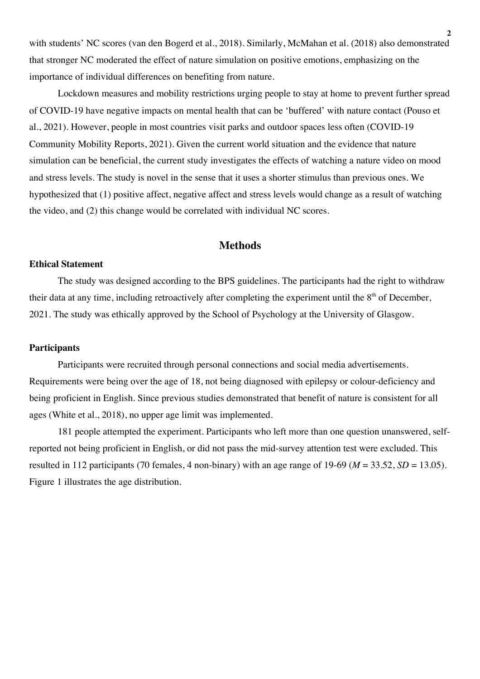with students' NC scores (van den Bogerd et al., 2018). Similarly, McMahan et al. (2018) also demonstrated that stronger NC moderated the effect of nature simulation on positive emotions, emphasizing on the importance of individual differences on benefiting from nature.

Lockdown measures and mobility restrictions urging people to stay at home to prevent further spread of COVID-19 have negative impacts on mental health that can be 'buffered' with nature contact (Pouso et al., 2021). However, people in most countries visit parks and outdoor spaces less often (COVID-19 Community Mobility Reports, 2021). Given the current world situation and the evidence that nature simulation can be beneficial, the current study investigates the effects of watching a nature video on mood and stress levels. The study is novel in the sense that it uses a shorter stimulus than previous ones. We hypothesized that (1) positive affect, negative affect and stress levels would change as a result of watching the video, and (2) this change would be correlated with individual NC scores.

## **Methods**

#### **Ethical Statement**

The study was designed according to the BPS guidelines. The participants had the right to withdraw their data at any time, including retroactively after completing the experiment until the  $8<sup>th</sup>$  of December, 2021. The study was ethically approved by the School of Psychology at the University of Glasgow.

## **Participants**

Participants were recruited through personal connections and social media advertisements. Requirements were being over the age of 18, not being diagnosed with epilepsy or colour-deficiency and being proficient in English. Since previous studies demonstrated that benefit of nature is consistent for all ages (White et al., 2018), no upper age limit was implemented.

181 people attempted the experiment. Participants who left more than one question unanswered, selfreported not being proficient in English, or did not pass the mid-survey attention test were excluded. This resulted in 112 participants (70 females, 4 non-binary) with an age range of 19-69 ( $M = 33.52$ ,  $SD = 13.05$ ). Figure 1 illustrates the age distribution.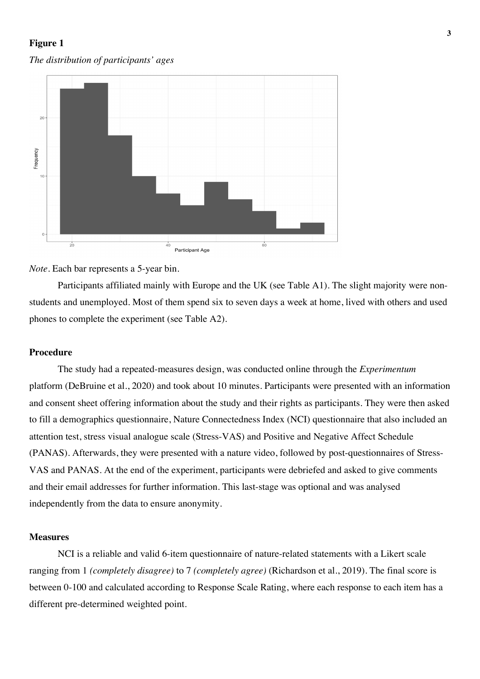## **Figure 1**

#### *The distribution of participants' ages*



#### *Note.* Each bar represents a 5-year bin.

Participants affiliated mainly with Europe and the UK (see Table A1). The slight majority were nonstudents and unemployed. Most of them spend six to seven days a week at home, lived with others and used phones to complete the experiment (see Table A2).

#### **Procedure**

The study had a repeated-measures design, was conducted online through the *Experimentum* platform (DeBruine et al., 2020) and took about 10 minutes. Participants were presented with an information and consent sheet offering information about the study and their rights as participants. They were then asked to fill a demographics questionnaire, Nature Connectedness Index (NCI) questionnaire that also included an attention test, stress visual analogue scale (Stress-VAS) and Positive and Negative Affect Schedule (PANAS). Afterwards, they were presented with a nature video, followed by post-questionnaires of Stress-VAS and PANAS. At the end of the experiment, participants were debriefed and asked to give comments and their email addresses for further information. This last-stage was optional and was analysed independently from the data to ensure anonymity.

### **Measures**

NCI is a reliable and valid 6-item questionnaire of nature-related statements with a Likert scale ranging from 1 *(completely disagree)* to 7 *(completely agree)* (Richardson et al., 2019). The final score is between 0-100 and calculated according to Response Scale Rating, where each response to each item has a different pre-determined weighted point.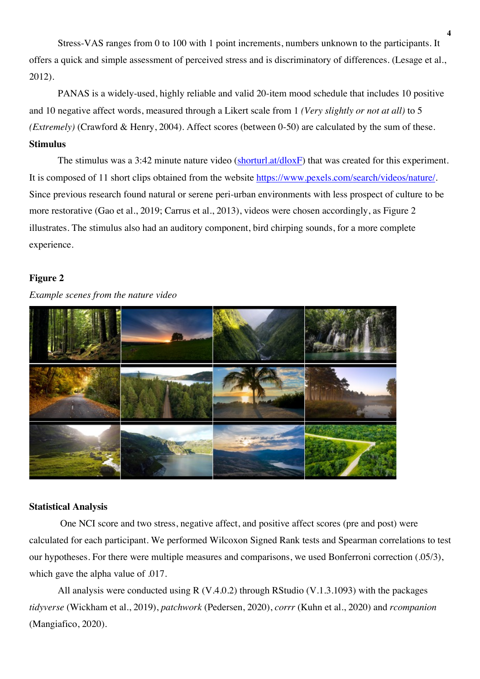Stress-VAS ranges from 0 to 100 with 1 point increments, numbers unknown to the participants. It offers a quick and simple assessment of perceived stress and is discriminatory of differences. (Lesage et al., 2012).

PANAS is a widely-used, highly reliable and valid 20-item mood schedule that includes 10 positive and 10 negative affect words, measured through a Likert scale from 1 *(Very slightly or not at all)* to 5 *(Extremely)* (Crawford & Henry, 2004). Affect scores (between 0-50) are calculated by the sum of these. **Stimulus**

The stimulus was a 3:42 minute nature video  $(\frac{\text{shorturl}.at/d\text{loxF}}{\text{float}})$  that was created for this experiment. It is composed of 11 short clips obtained from the website https://www.pexels.com/search/videos/nature/. Since previous research found natural or serene peri-urban environments with less prospect of culture to be more restorative (Gao et al., 2019; Carrus et al., 2013), videos were chosen accordingly, as Figure 2 illustrates. The stimulus also had an auditory component, bird chirping sounds, for a more complete experience.

## **Figure 2**

*Example scenes from the nature video*



## **Statistical Analysis**

One NCI score and two stress, negative affect, and positive affect scores (pre and post) were calculated for each participant. We performed Wilcoxon Signed Rank tests and Spearman correlations to test our hypotheses. For there were multiple measures and comparisons, we used Bonferroni correction (.05/3), which gave the alpha value of .017.

All analysis were conducted using R  $(V.4.0.2)$  through RStudio  $(V.1.3.1093)$  with the packages *tidyverse* (Wickham et al., 2019), *patchwork* (Pedersen, 2020), *corrr* (Kuhn et al., 2020) and *rcompanion*  (Mangiafico, 2020).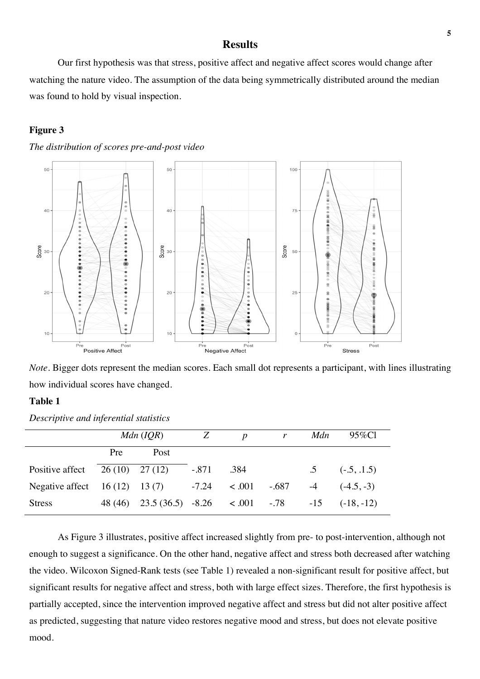## **Results**

Our first hypothesis was that stress, positive affect and negative affect scores would change after watching the nature video. The assumption of the data being symmetrically distributed around the median was found to hold by visual inspection.

#### **Figure 3**





*Note*. Bigger dots represent the median scores. Each small dot represents a participant, with lines illustrating how individual scores have changed.

## **Table 1**

*Descriptive and inferential statistics* 

|                                  | $Mdn$ (IQR) |                                   | Z       | $\mathbf{p}$ | $\mathbf{r}$             | Mdn  | 95%Cl                   |
|----------------------------------|-------------|-----------------------------------|---------|--------------|--------------------------|------|-------------------------|
|                                  | Pre         | Post                              |         |              |                          |      |                         |
| Positive affect $26(10)$ 27 (12) |             |                                   | $-.871$ | .384         |                          |      | $.5 \qquad (-.5, .1.5)$ |
| Negative affect $16(12)$ 13(7)   |             |                                   |         |              | $-7.24$ $< .001$ $-.687$ | $-4$ | $(-4.5, -3)$            |
| <b>Stress</b>                    | 48 (46)     | $23.5(36.5) -8.26 < 0.01 -78 -15$ |         |              |                          |      | $(-18,-12)$             |

As Figure 3 illustrates, positive affect increased slightly from pre- to post-intervention, although not enough to suggest a significance. On the other hand, negative affect and stress both decreased after watching the video. Wilcoxon Signed-Rank tests (see Table 1) revealed a non-significant result for positive affect, but significant results for negative affect and stress, both with large effect sizes. Therefore, the first hypothesis is partially accepted, since the intervention improved negative affect and stress but did not alter positive affect as predicted, suggesting that nature video restores negative mood and stress, but does not elevate positive mood.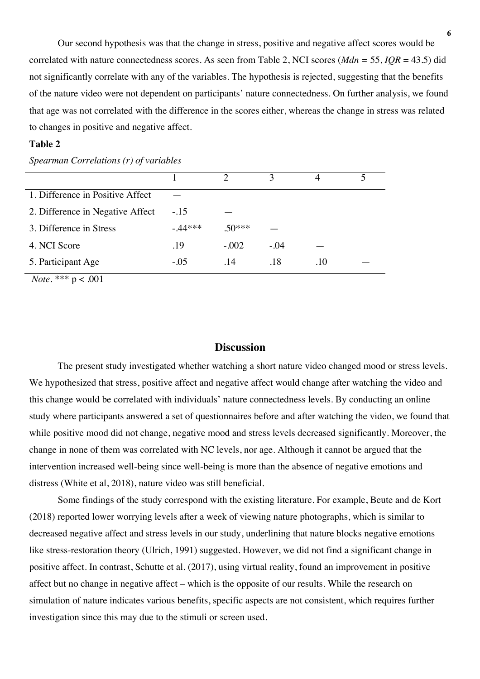Our second hypothesis was that the change in stress, positive and negative affect scores would be correlated with nature connectedness scores. As seen from Table 2, NCI scores (*Mdn =* 55, *IQR* = 43.5) did not significantly correlate with any of the variables. The hypothesis is rejected, suggesting that the benefits of the nature video were not dependent on participants' nature connectedness. On further analysis, we found that age was not correlated with the difference in the scores either, whereas the change in stress was related to changes in positive and negative affect.

## **Table 2**

|                                  |          | ↑        | $\mathbf{R}$ |     |  |
|----------------------------------|----------|----------|--------------|-----|--|
| 1. Difference in Positive Affect |          |          |              |     |  |
| 2. Difference in Negative Affect | $-.15$   |          |              |     |  |
| 3. Difference in Stress          | $-44***$ | $.50***$ |              |     |  |
| 4. NCI Score                     | .19      | $-.002$  | $-.04$       |     |  |
| 5. Participant Age               | $-.05$   | .14      | .18          | .10 |  |

*Spearman Correlations (r) of variables*

*Note.* \*\*\* p < .001

## **Discussion**

The present study investigated whether watching a short nature video changed mood or stress levels. We hypothesized that stress, positive affect and negative affect would change after watching the video and this change would be correlated with individuals' nature connectedness levels. By conducting an online study where participants answered a set of questionnaires before and after watching the video, we found that while positive mood did not change, negative mood and stress levels decreased significantly. Moreover, the change in none of them was correlated with NC levels, nor age. Although it cannot be argued that the intervention increased well-being since well-being is more than the absence of negative emotions and distress (White et al, 2018), nature video was still beneficial.

Some findings of the study correspond with the existing literature. For example, Beute and de Kort (2018) reported lower worrying levels after a week of viewing nature photographs, which is similar to decreased negative affect and stress levels in our study, underlining that nature blocks negative emotions like stress-restoration theory (Ulrich, 1991) suggested. However, we did not find a significant change in positive affect. In contrast, Schutte et al. (2017), using virtual reality, found an improvement in positive affect but no change in negative affect – which is the opposite of our results. While the research on simulation of nature indicates various benefits, specific aspects are not consistent, which requires further investigation since this may due to the stimuli or screen used.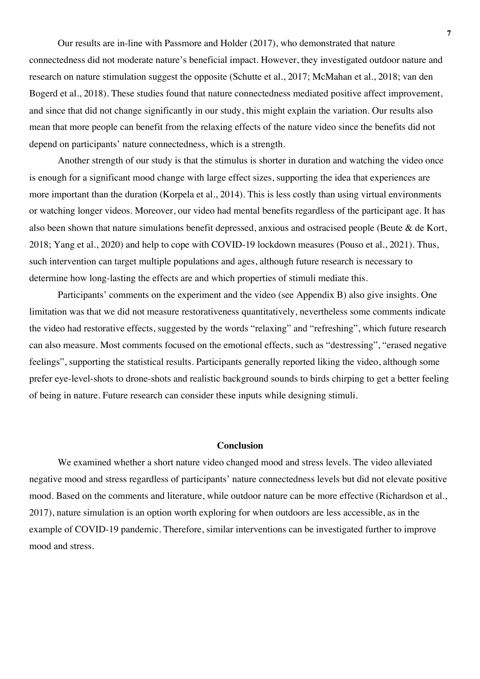Our results are in-line with Passmore and Holder (2017), who demonstrated that nature connectedness did not moderate nature's beneficial impact. However, they investigated outdoor nature and research on nature stimulation suggest the opposite (Schutte et al., 2017; McMahan et al., 2018; van den Bogerd et al., 2018). These studies found that nature connectedness mediated positive affect improvement, and since that did not change significantly in our study, this might explain the variation. Our results also mean that more people can benefit from the relaxing effects of the nature video since the benefits did not depend on participants' nature connectedness, which is a strength.

Another strength of our study is that the stimulus is shorter in duration and watching the video once is enough for a significant mood change with large effect sizes, supporting the idea that experiences are more important than the duration (Korpela et al., 2014). This is less costly than using virtual environments or watching longer videos. Moreover, our video had mental benefits regardless of the participant age. It has also been shown that nature simulations benefit depressed, anxious and ostracised people (Beute & de Kort, 2018; Yang et al., 2020) and help to cope with COVID-19 lockdown measures (Pouso et al., 2021). Thus, such intervention can target multiple populations and ages, although future research is necessary to determine how long-lasting the effects are and which properties of stimuli mediate this.

Participants' comments on the experiment and the video (see Appendix B) also give insights. One limitation was that we did not measure restorativeness quantitatively, nevertheless some comments indicate the video had restorative effects, suggested by the words "relaxing" and "refreshing", which future research can also measure. Most comments focused on the emotional effects, such as "destressing", "erased negative feelings", supporting the statistical results. Participants generally reported liking the video, although some prefer eye-level-shots to drone-shots and realistic background sounds to birds chirping to get a better feeling of being in nature. Future research can consider these inputs while designing stimuli.

## **Conclusion**

We examined whether a short nature video changed mood and stress levels. The video alleviated negative mood and stress regardless of participants' nature connectedness levels but did not elevate positive mood. Based on the comments and literature, while outdoor nature can be more effective (Richardson et al., 2017), nature simulation is an option worth exploring for when outdoors are less accessible, as in the example of COVID-19 pandemic. Therefore, similar interventions can be investigated further to improve mood and stress.

**7**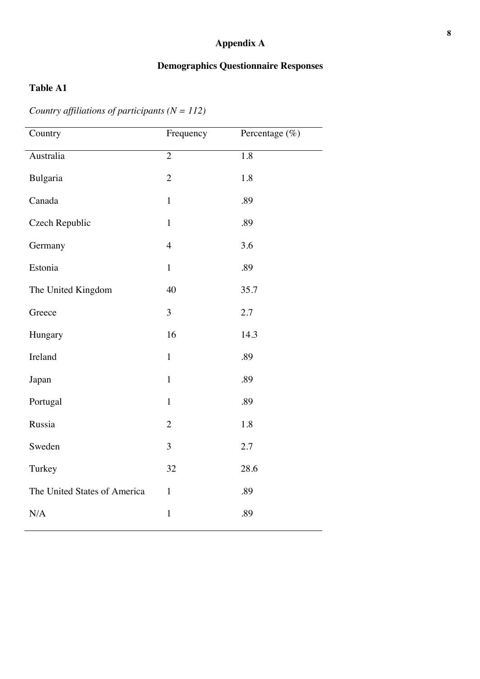# **Appendix A**

## **Demographics Questionnaire Responses**

# **Table A1**

*Country affiliations of participants (N = 112)*

| Country                      | Frequency      | Percentage (%)   |
|------------------------------|----------------|------------------|
| Australia                    | $\overline{2}$ | $\overline{1.8}$ |
| Bulgaria                     | $\overline{2}$ | 1.8              |
| Canada                       | $\mathbf{1}$   | .89              |
| <b>Czech Republic</b>        | $\mathbf{1}$   | .89              |
| Germany                      | $\overline{4}$ | 3.6              |
| Estonia                      | $\mathbf{1}$   | .89              |
| The United Kingdom           | 40             | 35.7             |
| Greece                       | 3              | 2.7              |
| Hungary                      | 16             | 14.3             |
| Ireland                      | $\mathbf{1}$   | .89              |
| Japan                        | $\mathbf{1}$   | .89              |
| Portugal                     | $\mathbf{1}$   | .89              |
| Russia                       | $\overline{2}$ | 1.8              |
| Sweden                       | 3              | 2.7              |
| Turkey                       | 32             | 28.6             |
| The United States of America | $\mathbf{1}$   | .89              |
| N/A                          | $\mathbf{1}$   | .89              |
|                              |                |                  |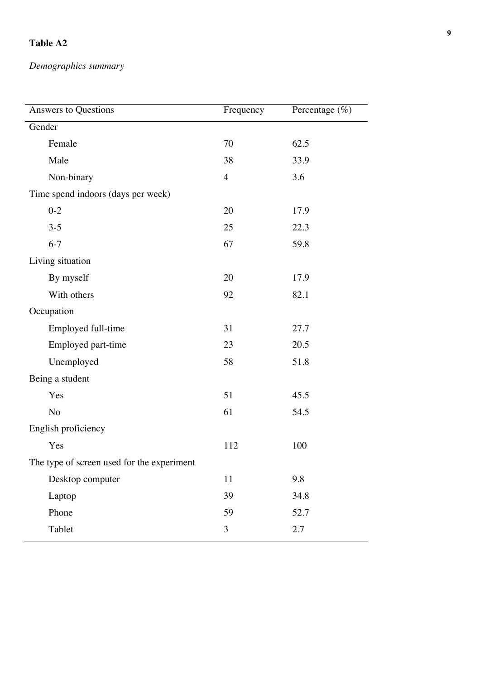# **Table A2**

*Demographics summary* 

| Answers to Questions                       | Frequency      | Percentage $(\%)$ |  |  |
|--------------------------------------------|----------------|-------------------|--|--|
| Gender                                     |                |                   |  |  |
| Female                                     | 70             | 62.5              |  |  |
| Male                                       | 38             | 33.9              |  |  |
| Non-binary                                 | $\overline{4}$ | 3.6               |  |  |
| Time spend indoors (days per week)         |                |                   |  |  |
| $0 - 2$                                    | 20             | 17.9              |  |  |
| $3 - 5$                                    | 25             | 22.3              |  |  |
| $6 - 7$                                    | 67             | 59.8              |  |  |
| Living situation                           |                |                   |  |  |
| By myself                                  | 20             | 17.9              |  |  |
| With others                                | 92             | 82.1              |  |  |
| Occupation                                 |                |                   |  |  |
| Employed full-time                         | 31             | 27.7              |  |  |
| Employed part-time                         | 23             | 20.5              |  |  |
| Unemployed                                 | 58             | 51.8              |  |  |
| Being a student                            |                |                   |  |  |
| Yes                                        | 51             | 45.5              |  |  |
| N <sub>o</sub>                             | 61             | 54.5              |  |  |
| English proficiency                        |                |                   |  |  |
| Yes                                        | 112            | 100               |  |  |
| The type of screen used for the experiment |                |                   |  |  |
| Desktop computer                           | 11             | 9.8               |  |  |
| Laptop                                     | 39             | 34.8              |  |  |
| Phone                                      | 59             | 52.7              |  |  |
| Tablet                                     | $\overline{3}$ | 2.7               |  |  |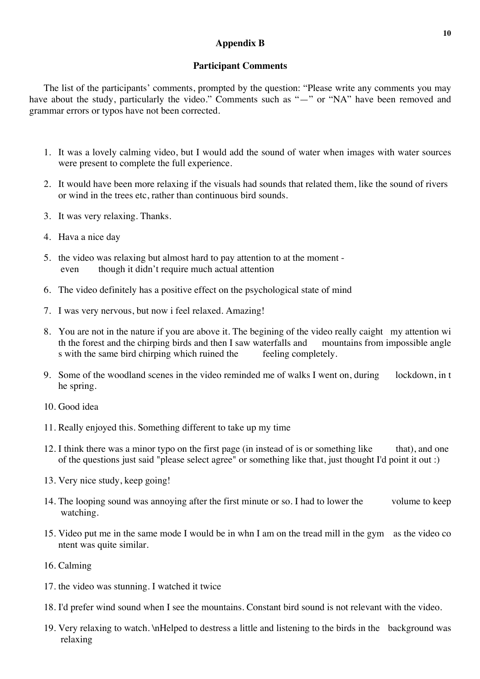## **Appendix B**

## **Participant Comments**

The list of the participants' comments, prompted by the question: "Please write any comments you may have about the study, particularly the video." Comments such as "-" or "NA" have been removed and grammar errors or typos have not been corrected.

- 1. It was a lovely calming video, but I would add the sound of water when images with water sources were present to complete the full experience.
- 2. It would have been more relaxing if the visuals had sounds that related them, like the sound of rivers or wind in the trees etc, rather than continuous bird sounds.
- 3. It was very relaxing. Thanks.
- 4. Hava a nice day
- 5. the video was relaxing but almost hard to pay attention to at the moment even though it didn't require much actual attention
- 6. The video definitely has a positive effect on the psychological state of mind
- 7. I was very nervous, but now i feel relaxed. Amazing!
- 8. You are not in the nature if you are above it. The begining of the video really caight my attention wi th the forest and the chirping birds and then I saw waterfalls and mountains from impossible angle s with the same bird chirping which ruined the feeling completely.
- 9. Some of the woodland scenes in the video reminded me of walks I went on, during lockdown, in t he spring.
- 10. Good idea
- 11. Really enjoyed this. Something different to take up my time
- 12. I think there was a minor typo on the first page (in instead of is or something like that), and one of the questions just said "please select agree" or something like that, just thought I'd point it out :)
- 13. Very nice study, keep going!
- 14. The looping sound was annoying after the first minute or so. I had to lower the volume to keep watching.
- 15. Video put me in the same mode I would be in whn I am on the tread mill in the gym as the video co ntent was quite similar.
- 16. Calming
- 17. the video was stunning. I watched it twice
- 18. I'd prefer wind sound when I see the mountains. Constant bird sound is not relevant with the video.
- 19. Very relaxing to watch. \nHelped to destress a little and listening to the birds in the background was relaxing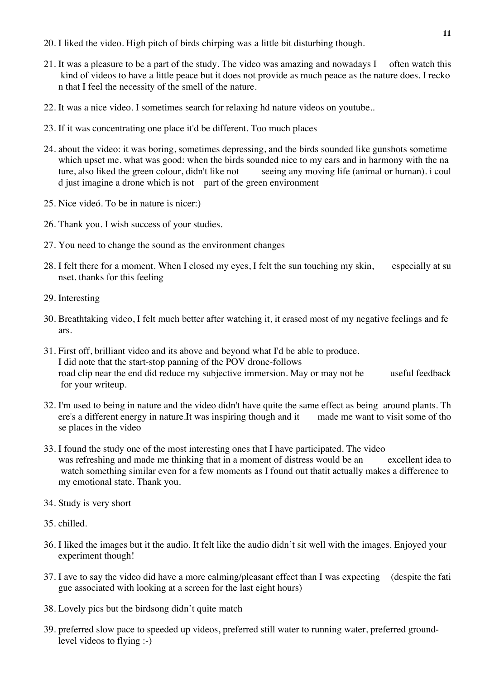- 20. I liked the video. High pitch of birds chirping was a little bit disturbing though.
- 21. It was a pleasure to be a part of the study. The video was amazing and nowadays I often watch this kind of videos to have a little peace but it does not provide as much peace as the nature does. I recko n that I feel the necessity of the smell of the nature.
- 22. It was a nice video. I sometimes search for relaxing hd nature videos on youtube..
- 23. If it was concentrating one place it'd be different. Too much places
- 24. about the video: it was boring, sometimes depressing, and the birds sounded like gunshots sometime which upset me. what was good: when the birds sounded nice to my ears and in harmony with the na ture, also liked the green colour, didn't like not seeing any moving life (animal or human). i coul d just imagine a drone which is not part of the green environment
- 25. Nice videó. To be in nature is nicer:)
- 26. Thank you. I wish success of your studies.
- 27. You need to change the sound as the environment changes
- 28. I felt there for a moment. When I closed my eyes, I felt the sun touching my skin, especially at su nset. thanks for this feeling
- 29. Interesting
- 30. Breathtaking video, I felt much better after watching it, it erased most of my negative feelings and fe ars.
- 31. First off, brilliant video and its above and beyond what I'd be able to produce. I did note that the start-stop panning of the POV drone-follows road clip near the end did reduce my subjective immersion. May or may not be useful feedback for your writeup.
- 32. I'm used to being in nature and the video didn't have quite the same effect as being around plants. Th ere's a different energy in nature.It was inspiring though and it made me want to visit some of tho se places in the video
- 33. I found the study one of the most interesting ones that I have participated. The video was refreshing and made me thinking that in a moment of distress would be an excellent idea to watch something similar even for a few moments as I found out thatit actually makes a difference to my emotional state. Thank you.
- 34. Study is very short
- 35. chilled.
- 36. I liked the images but it the audio. It felt like the audio didn't sit well with the images. Enjoyed your experiment though!
- 37. I ave to say the video did have a more calming/pleasant effect than I was expecting (despite the fati gue associated with looking at a screen for the last eight hours)
- 38. Lovely pics but the birdsong didn't quite match
- 39. preferred slow pace to speeded up videos, preferred still water to running water, preferred groundlevel videos to flying  $\cdot$ )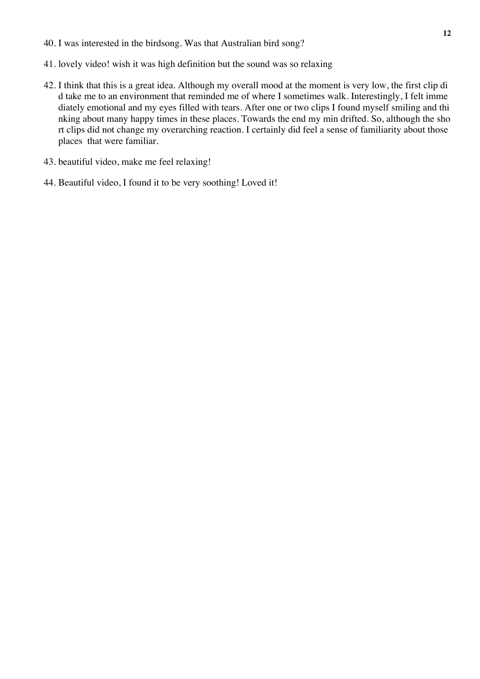- 40. I was interested in the birdsong. Was that Australian bird song?
- 41. lovely video! wish it was high definition but the sound was so relaxing
- 42. I think that this is a great idea. Although my overall mood at the moment is very low, the first clip di d take me to an environment that reminded me of where I sometimes walk. Interestingly, I felt imme diately emotional and my eyes filled with tears. After one or two clips I found myself smiling and thi nking about many happy times in these places. Towards the end my min drifted. So, although the sho rt clips did not change my overarching reaction. I certainly did feel a sense of familiarity about those places that were familiar.
- 43. beautiful video, make me feel relaxing!
- 44. Beautiful video, I found it to be very soothing! Loved it!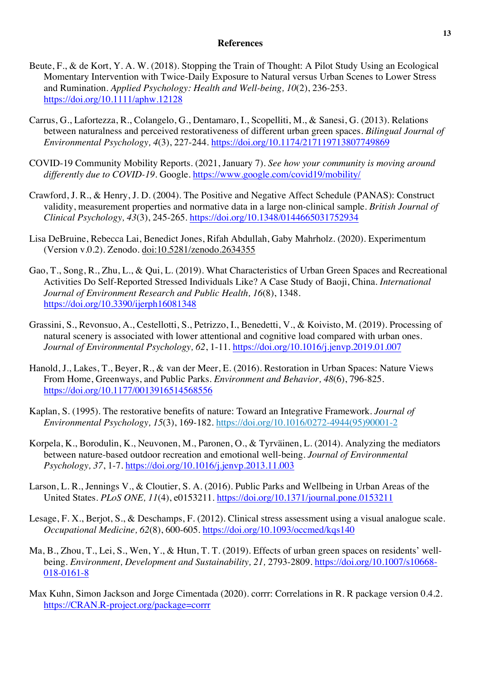#### **References**

- Beute, F., & de Kort, Y. A. W. (2018). Stopping the Train of Thought: A Pilot Study Using an Ecological Momentary Intervention with Twice-Daily Exposure to Natural versus Urban Scenes to Lower Stress and Rumination. *Applied Psychology: Health and Well-being, 10*(2), 236-253. https://doi.org/10.1111/aphw.12128
- Carrus, G., Lafortezza, R., Colangelo, G., Dentamaro, I., Scopelliti, M., & Sanesi, G. (2013). Relations between naturalness and perceived restorativeness of different urban green spaces. *Bilingual Journal of Environmental Psychology, 4*(3), 227-244. https://doi.org/10.1174/217119713807749869
- COVID-19 Community Mobility Reports. (2021, January 7). *See how your community is moving around differently due to COVID-19*. Google. https://www.google.com/covid19/mobility/
- Crawford, J. R., & Henry, J. D. (2004). The Positive and Negative Affect Schedule (PANAS): Construct validity, measurement properties and normative data in a large non-clinical sample. *British Journal of Clinical Psychology, 43*(3), 245-265. https://doi.org/10.1348/0144665031752934
- Lisa DeBruine, Rebecca Lai, Benedict Jones, Rifah Abdullah, Gaby Mahrholz. (2020). Experimentum (Version v.0.2). Zenodo. doi:10.5281/zenodo.2634355
- Gao, T., Song, R., Zhu, L., & Qui, L. (2019). What Characteristics of Urban Green Spaces and Recreational Activities Do Self-Reported Stressed Individuals Like? A Case Study of Baoji, China. *International Journal of Environment Research and Public Health, 16*(8), 1348. https://doi.org/10.3390/ijerph16081348
- Grassini, S., Revonsuo, A., Cestellotti, S., Petrizzo, I., Benedetti, V., & Koivisto, M. (2019). Processing of natural scenery is associated with lower attentional and cognitive load compared with urban ones. *Journal of Environmental Psychology, 62*, 1-11. https://doi.org/10.1016/j.jenvp.2019.01.007
- Hanold, J., Lakes, T., Beyer, R., & van der Meer, E. (2016). Restoration in Urban Spaces: Nature Views From Home, Greenways, and Public Parks. *Environment and Behavior, 48*(6), 796-825. https://doi.org/10.1177/0013916514568556
- Kaplan, S. (1995). The restorative benefits of nature: Toward an Integrative Framework. *Journal of Environmental Psychology, 15*(3), 169-182. https://doi.org/10.1016/0272-4944(95)90001-2
- Korpela, K., Borodulin, K., Neuvonen, M., Paronen, O., & Tyrväinen, L. (2014). Analyzing the mediators between nature-based outdoor recreation and emotional well-being. *Journal of Environmental Psychology, 37*, 1-7. https://doi.org/10.1016/j.jenvp.2013.11.003
- Larson, L. R., Jennings V., & Cloutier, S. A. (2016). Public Parks and Wellbeing in Urban Areas of the United States. *PLoS ONE, 11*(4), e0153211. https://doi.org/10.1371/journal.pone.0153211
- Lesage, F. X., Berjot, S., & Deschamps, F. (2012). Clinical stress assessment using a visual analogue scale. *Occupational Medicine, 62*(8), 600-605. https://doi.org/10.1093/occmed/kqs140
- Ma, B., Zhou, T., Lei, S., Wen, Y., & Htun, T. T. (2019). Effects of urban green spaces on residents' wellbeing. *Environment, Development and Sustainability, 21, 2793-2809. https://doi.org/10.1007/s10668-*018-0161-8
- Max Kuhn, Simon Jackson and Jorge Cimentada (2020). corrr: Correlations in R. R package version 0.4.2. https://CRAN.R-project.org/package=corrr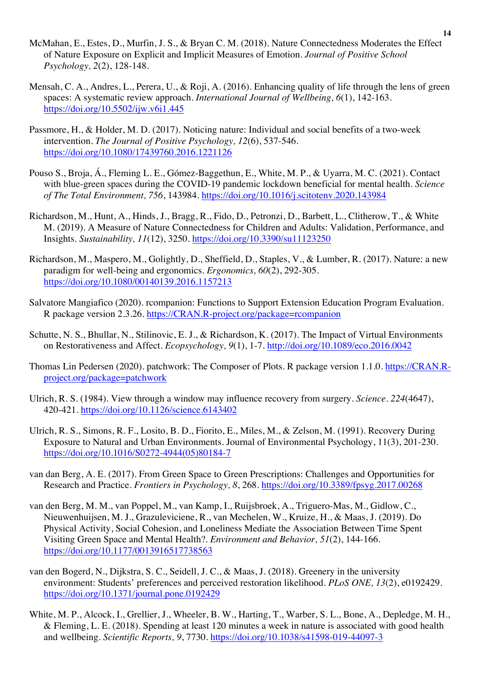- Mensah, C. A., Andres, L., Perera, U., & Roji, A. (2016). Enhancing quality of life through the lens of green spaces: A systematic review approach. *International Journal of Wellbeing, 6*(1), 142-163. https://doi.org/10.5502/ijw.v6i1.445
- Passmore, H., & Holder, M. D. (2017). Noticing nature: Individual and social benefits of a two-week intervention. *The Journal of Positive Psychology, 12*(6), 537-546. https://doi.org/10.1080/17439760.2016.1221126
- Pouso S., Broja, Á., Fleming L. E., Gómez-Baggethun, E., White, M. P., & Uyarra, M. C. (2021). Contact with blue-green spaces during the COVID-19 pandemic lockdown beneficial for mental health. *Science of The Total Environment, 756*, 143984. https://doi.org/10.1016/j.scitotenv.2020.143984
- Richardson, M., Hunt, A., Hinds, J., Bragg, R., Fido, D., Petronzi, D., Barbett, L., Clitherow, T., & White M. (2019). A Measure of Nature Connectedness for Children and Adults: Validation, Performance, and Insights. *Sustainability, 11*(12), 3250. https://doi.org/10.3390/su11123250
- Richardson, M., Maspero, M., Golightly, D., Sheffield, D., Staples, V., & Lumber, R. (2017). Nature: a new paradigm for well-being and ergonomics. *Ergonomics, 60*(2), 292-305. https://doi.org/10.1080/00140139.2016.1157213
- Salvatore Mangiafico (2020). rcompanion: Functions to Support Extension Education Program Evaluation. R package version 2.3.26. https://CRAN.R-project.org/package=rcompanion
- Schutte, N. S., Bhullar, N., Stilinovic, E. J., & Richardson, K. (2017). The Impact of Virtual Environments on Restorativeness and Affect. *Ecopsychology, 9*(1), 1-7. http://doi.org/10.1089/eco.2016.0042
- Thomas Lin Pedersen (2020). patchwork: The Composer of Plots. R package version 1.1.0. https://CRAN.Rproject.org/package=patchwork
- Ulrich, R. S. (1984). View through a window may influence recovery from surgery. *Science. 224*(4647), 420-421. https://doi.org/10.1126/science.6143402
- Ulrich, R. S., Simons, R. F., Losito, B. D., Fiorito, E., Miles, M., & Zelson, M. (1991). Recovery During Exposure to Natural and Urban Environments. Journal of Environmental Psychology, 11(3), 201-230. https://doi.org/10.1016/S0272-4944(05)80184-7
- van dan Berg, A. E. (2017). From Green Space to Green Prescriptions: Challenges and Opportunities for Research and Practice. *Frontiers in Psychology, 8*, 268. https://doi.org/10.3389/fpsyg.2017.00268
- van den Berg, M. M., van Poppel, M., van Kamp, I., Ruijsbroek, A., Triguero-Mas, M., Gidlow, C., Nieuwenhuijsen, M. J., Grazuleviciene, R., van Mechelen, W., Kruize, H., & Maas, J. (2019). Do Physical Activity, Social Cohesion, and Loneliness Mediate the Association Between Time Spent Visiting Green Space and Mental Health?. *Environment and Behavior, 51*(2), 144-166. https://doi.org/10.1177/0013916517738563
- van den Bogerd, N., Dijkstra, S. C., Seidell, J. C., & Maas, J. (2018). Greenery in the university environment: Students' preferences and perceived restoration likelihood. *PLoS ONE, 13*(2), e0192429. https://doi.org/10.1371/journal.pone.0192429
- White, M. P., Alcock, I., Grellier, J., Wheeler, B. W., Harting, T., Warber, S. L., Bone, A., Depledge, M. H., & Fleming, L. E. (2018). Spending at least 120 minutes a week in nature is associated with good health and wellbeing. *Scientific Reports, 9*, 7730. https://doi.org/10.1038/s41598-019-44097-3